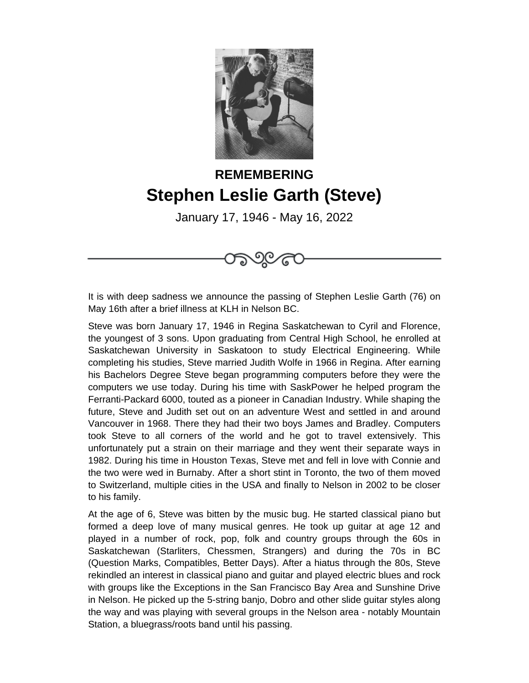

## **REMEMBERING Stephen Leslie Garth (Steve)**

January 17, 1946 - May 16, 2022

೧೯೨೦೬

It is with deep sadness we announce the passing of Stephen Leslie Garth (76) on May 16th after a brief illness at KLH in Nelson BC.

Steve was born January 17, 1946 in Regina Saskatchewan to Cyril and Florence, the youngest of 3 sons. Upon graduating from Central High School, he enrolled at Saskatchewan University in Saskatoon to study Electrical Engineering. While completing his studies, Steve married Judith Wolfe in 1966 in Regina. After earning his Bachelors Degree Steve began programming computers before they were the computers we use today. During his time with SaskPower he helped program the Ferranti-Packard 6000, touted as a pioneer in Canadian Industry. While shaping the future, Steve and Judith set out on an adventure West and settled in and around Vancouver in 1968. There they had their two boys James and Bradley. Computers took Steve to all corners of the world and he got to travel extensively. This unfortunately put a strain on their marriage and they went their separate ways in 1982. During his time in Houston Texas, Steve met and fell in love with Connie and the two were wed in Burnaby. After a short stint in Toronto, the two of them moved to Switzerland, multiple cities in the USA and finally to Nelson in 2002 to be closer to his family.

At the age of 6, Steve was bitten by the music bug. He started classical piano but formed a deep love of many musical genres. He took up guitar at age 12 and played in a number of rock, pop, folk and country groups through the 60s in Saskatchewan (Starliters, Chessmen, Strangers) and during the 70s in BC (Question Marks, Compatibles, Better Days). After a hiatus through the 80s, Steve rekindled an interest in classical piano and guitar and played electric blues and rock with groups like the Exceptions in the San Francisco Bay Area and Sunshine Drive in Nelson. He picked up the 5-string banjo, Dobro and other slide guitar styles along the way and was playing with several groups in the Nelson area - notably Mountain Station, a bluegrass/roots band until his passing.